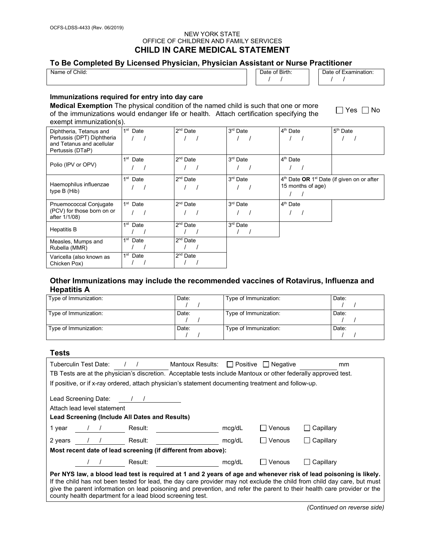### NEW YORK STATE OFFICE OF CHILDREN AND FAMILY SERVICES **CHILD IN CARE MEDICAL STATEMENT**

# **To Be Completed By Licensed Physician, Physician Assistant or Nurse Practitioner**

| $\sim$<br>Child:<br>Nar.<br>. . | <sup>or</sup> Biru. | וו<br>nauon.<br>Jdl |
|---------------------------------|---------------------|---------------------|
|                                 |                     |                     |

### **Immunizations required for entry into day care**

**Medical Exemption** The physical condition of the named child is such that one or more of the immunizations would endanger life or health. Attach certification specifying the exempt immunization(s).

| Diphtheria, Tetanus and<br>Pertussis (DPT) Diphtheria<br>and Tetanus and acellular<br>Pertussis (DTaP) | 1 <sup>st</sup> Date | 2 <sup>nd</sup> Date | 3 <sup>rd</sup> Date | 4 <sup>th</sup> Date                                                          | 5 <sup>th</sup> Date |
|--------------------------------------------------------------------------------------------------------|----------------------|----------------------|----------------------|-------------------------------------------------------------------------------|----------------------|
| Polio (IPV or OPV)                                                                                     | 1 <sup>st</sup> Date | $2nd$ Date           | 3 <sup>rd</sup> Date | 4 <sup>th</sup> Date                                                          |                      |
| Haemophilus influenzae<br>type B (Hib)                                                                 | 1 <sup>st</sup> Date | $2nd$ Date           | 3 <sup>rd</sup> Date | $4th$ Date OR 1 <sup>st</sup> Date (if given on or after<br>15 months of age) |                      |
| Pnuemococcal Conjugate<br>(PCV) for those born on or<br>after 1/1/08)                                  | $1st$ Date           | 2 <sup>nd</sup> Date | 3 <sup>rd</sup> Date | 4 <sup>th</sup> Date                                                          |                      |
| <b>Hepatitis B</b>                                                                                     | 1 <sup>st</sup> Date | $2nd$ Date           | 3 <sup>rd</sup> Date |                                                                               |                      |
| Measles, Mumps and<br>Rubella (MMR)                                                                    | 1 <sup>st</sup> Date | $2nd$ Date           |                      |                                                                               |                      |
| Varicella (also known as<br>Chicken Pox)                                                               | 1 <sup>st</sup> Date | $2nd$ Date           |                      |                                                                               |                      |

# **Other Immunizations may include the recommended vaccines of Rotavirus, Influenza and Hepatitis A**

| Type of Immunization: | Date: | Type of Immunization: | Date: |
|-----------------------|-------|-----------------------|-------|
| Type of Immunization: | Date: | Type of Immunization: | Date: |
| Type of Immunization: | Date: | Type of Immunization: | Date: |

### **Tests**

|                                                                                                                                                                                                                                                                                                                                                                                                                                       | Tuberculin Test Date:                                                                               |         | Mantoux Results: $\Box$ Positive $\Box$ Negative |        |                 | mm        |
|---------------------------------------------------------------------------------------------------------------------------------------------------------------------------------------------------------------------------------------------------------------------------------------------------------------------------------------------------------------------------------------------------------------------------------------|-----------------------------------------------------------------------------------------------------|---------|--------------------------------------------------|--------|-----------------|-----------|
| TB Tests are at the physician's discretion. Acceptable tests include Mantoux or other federally approved test.                                                                                                                                                                                                                                                                                                                        |                                                                                                     |         |                                                  |        |                 |           |
|                                                                                                                                                                                                                                                                                                                                                                                                                                       | If positive, or if x-ray ordered, attach physician's statement documenting treatment and follow-up. |         |                                                  |        |                 |           |
| Lead Screening Date:<br>Attach lead level statement<br>Lead Screening (Include All Dates and Results)                                                                                                                                                                                                                                                                                                                                 |                                                                                                     |         |                                                  |        |                 |           |
| 1 year                                                                                                                                                                                                                                                                                                                                                                                                                                | $\sqrt{1}$                                                                                          | Result: |                                                  | mcg/dL | $\sqcap$ Venous | Capillary |
| 2 years                                                                                                                                                                                                                                                                                                                                                                                                                               |                                                                                                     | Result: |                                                  | mcg/dL | l Venous        | Capillary |
|                                                                                                                                                                                                                                                                                                                                                                                                                                       | Most recent date of lead screening (if different from above):                                       |         |                                                  |        |                 |           |
|                                                                                                                                                                                                                                                                                                                                                                                                                                       |                                                                                                     | Result: |                                                  | mcg/dL | Venous          | Capillary |
| Per NYS law, a blood lead test is required at 1 and 2 years of age and whenever risk of lead poisoning is likely.<br>If the child has not been tested for lead, the day care provider may not exclude the child from child day care, but must<br>give the parent information on lead poisoning and prevention, and refer the parent to their health care provider or the<br>county health department for a lead blood screening test. |                                                                                                     |         |                                                  |        |                 |           |

 $\Box$  Yes  $\Box$  No

*(Continued on reverse side)*